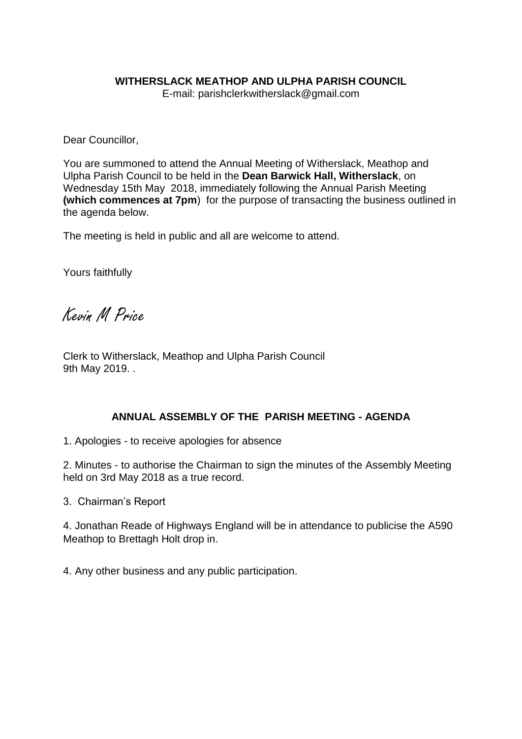### **WITHERSLACK MEATHOP AND ULPHA PARISH COUNCIL**

E-mail: parishclerkwitherslack@gmail.com

Dear Councillor,

You are summoned to attend the Annual Meeting of Witherslack, Meathop and Ulpha Parish Council to be held in the **Dean Barwick Hall, Witherslack**, on Wednesday 15th May 2018, immediately following the Annual Parish Meeting **(which commences at 7pm**) for the purpose of transacting the business outlined in the agenda below.

The meeting is held in public and all are welcome to attend.

Yours faithfully

Kevin M Price

Clerk to Witherslack, Meathop and Ulpha Parish Council 9th May 2019. .

## **ANNUAL ASSEMBLY OF THE PARISH MEETING - AGENDA**

1. Apologies - to receive apologies for absence

2. Minutes - to authorise the Chairman to sign the minutes of the Assembly Meeting held on 3rd May 2018 as a true record.

3. Chairman's Report

4. Jonathan Reade of Highways England will be in attendance to publicise the A590 Meathop to Brettagh Holt drop in.

4. Any other business and any public participation.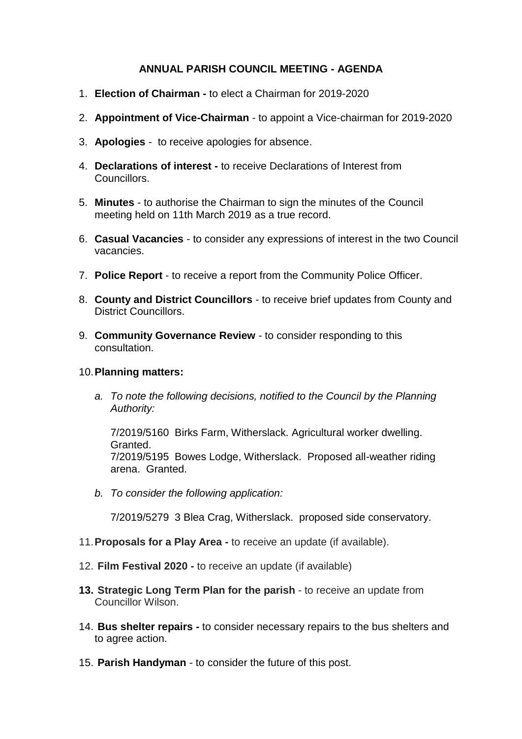# **ANNUAL PARISH COUNCIL MEETING - AGENDA**

- 1. **Election of Chairman -** to elect a Chairman for 2019-2020
- 2. **Appointment of Vice-Chairman** *-* to appoint a Vice-chairman for 2019-2020
- 3. **Apologies** to receive apologies for absence.
- 4. **Declarations of interest -** to receive Declarations of Interest from Councillors.
- 5. **Minutes** to authorise the Chairman to sign the minutes of the Council meeting held on 11th March 2019 as a true record.
- 6. **Casual Vacancies**  to consider any expressions of interest in the two Council vacancies.
- 7. **Police Report** to receive a report from the Community Police Officer.
- 8. **County and District Councillors** to receive brief updates from County and District Councillors.
- 9. **Community Governance Review** to consider responding to this consultation.

## 10.**Planning matters:**

*a. To note the following decisions, notified to the Council by the Planning Authority:*

7/2019/5160 Birks Farm, Witherslack. Agricultural worker dwelling. Granted. 7/2019/5195 Bowes Lodge, Witherslack. Proposed all-weather riding arena. Granted.

*b. To consider the following application:*

7/2019/5279 3 Blea Crag, Witherslack. proposed side conservatory.

- 11.**Proposals for a Play Area -** to receive an update (if available).
- 12. **Film Festival 2020 -** to receive an update (if available)
- **13. Strategic Long Term Plan for the parish** to receive an update from Councillor Wilson.
- 14. **Bus shelter repairs -** to consider necessary repairs to the bus shelters and to agree action.
- 15. **Parish Handyman** to consider the future of this post.